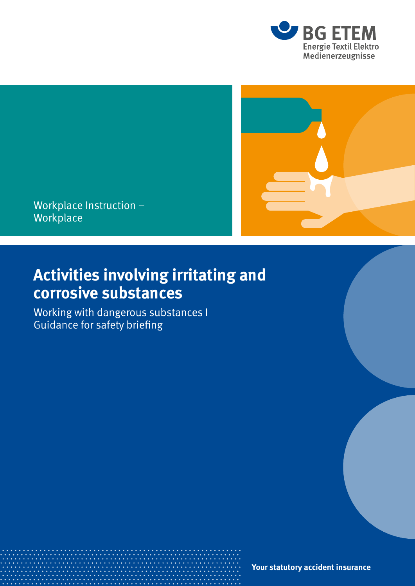



Workplace Instruction – **Workplace** 

# **Activities involving irritating and corrosive substances**

Working with dangerous substances I Guidance for safety briefing

**Your statutory accident insurance**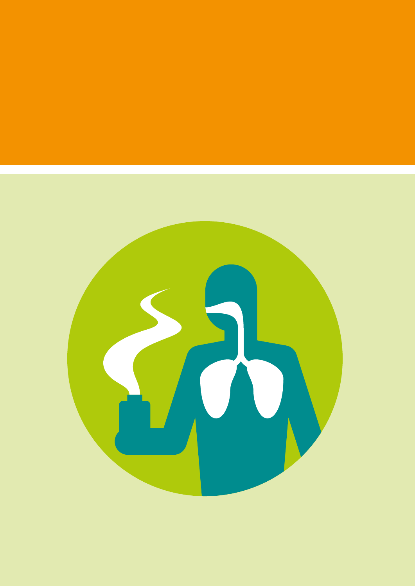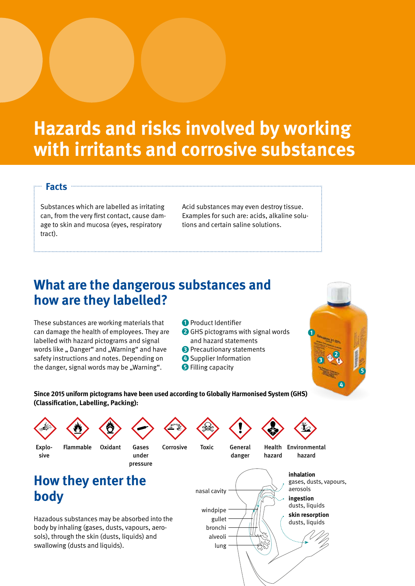# **Hazards and risks involved by working with irritants and corrosive substances**

### **Facts**

Substances which are labelled as irritating can, from the very first contact, cause damage to skin and mucosa (eyes, respiratory tract).

Acid substances may even destroy tissue. Examples for such are: acids, alkaline solutions and certain saline solutions.

## **What are the dangerous substances and how are they labelled?**

These substances are working materials that can damage the health of employees. They are labelled with hazard pictograms and signal words like .. Danger" and ..Warning" and have safety instructions and notes. Depending on the danger, signal words may be "Warning".

- **1** Product Identifier
- **2** GHS pictograms with signal words and hazard statements
- **3** Precautionary statements
- **4** Supplier Information
- **5** Filling capacity



**Since 2015 uniform pictograms have been used according to Globally Harmonised System (GHS) (Classification, Labelling, Packing):**

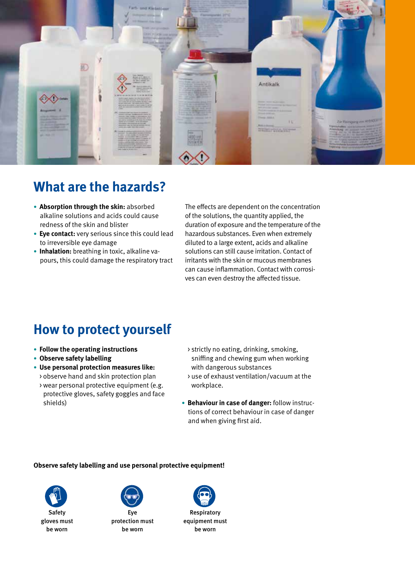

## **What are the hazards?**

- **Absorption through the skin:** absorbed alkaline solutions and acids could cause redness of the skin and blister
- **Eye contact:** very serious since this could lead to irreversible eye damage
- **Inhalation:** breathing in toxic, alkaline vapours, this could damage the respiratory tract

The effects are dependent on the concentration of the solutions, the quantity applied, the duration of exposure and the temperature of the hazardous substances. Even when extremely diluted to a large extent, acids and alkaline solutions can still cause irritation. Contact of irritants with the skin or mucous membranes can cause inflammation. Contact with corrosives can even destroy the affected tissue.

## **How to protect yourself**

- **Follow the operating instructions**
- **Observe safety labelling**
- **Use personal protection measures like:** > observe hand and skin protection plan > wear personal protective equipment (e.g. protective gloves, safety goggles and face shields)
- > strictly no eating, drinking, smoking, sniffing and chewing gum when working with dangerous substances
- > use of exhaust ventilation/vacuum at the workplace.
- **Behaviour in case of danger:** follow instructions of correct behaviour in case of danger and when giving first aid.

#### **Observe safety labelling and use personal protective equipment!**





Eye protection must be worn

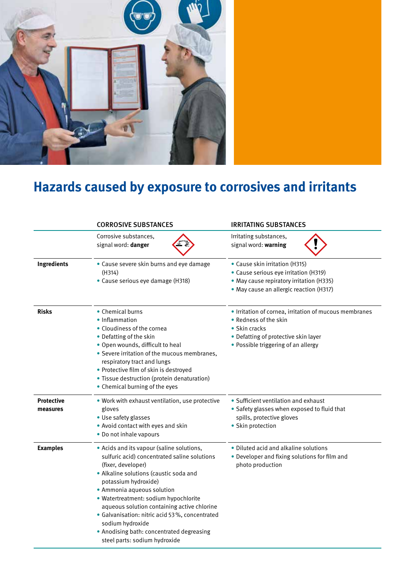

# **Hazards caused by exposure to corrosives and irritants**

|                               | <b>CORROSIVE SUBSTANCES</b>                                                                                                                                                                                                                                                                                                                                                                                                                                 | <b>IRRITATING SUBSTANCES</b>                                                                                                                                                    |
|-------------------------------|-------------------------------------------------------------------------------------------------------------------------------------------------------------------------------------------------------------------------------------------------------------------------------------------------------------------------------------------------------------------------------------------------------------------------------------------------------------|---------------------------------------------------------------------------------------------------------------------------------------------------------------------------------|
|                               | Corrosive substances,<br>signal word: danger                                                                                                                                                                                                                                                                                                                                                                                                                | Irritating substances,<br>signal word: warning                                                                                                                                  |
| Ingredients                   | • Cause severe skin burns and eye damage<br>(H314)<br>• Cause serious eye damage (H318)                                                                                                                                                                                                                                                                                                                                                                     | • Cause skin irritation (H315)<br>• Cause serious eye irritation (H319)<br>• May cause repiratory irritation (H335)<br>• May cause an allergic reaction (H317)                  |
| <b>Risks</b>                  | • Chemical burns<br>• Inflammation<br>• Cloudiness of the cornea<br>• Defatting of the skin<br>• Open wounds, difficult to heal<br>• Severe irritation of the mucous membranes,<br>respiratory tract and lungs<br>• Protective film of skin is destroyed<br>• Tissue destruction (protein denaturation)<br>• Chemical burning of the eyes                                                                                                                   | · Irritation of cornea, irritation of mucous membranes<br>• Redness of the skin<br>• Skin cracks<br>• Defatting of protective skin layer<br>• Possible triggering of an allergy |
| <b>Protective</b><br>measures | . Work with exhaust ventilation, use protective<br>gloves<br>• Use safety glasses<br>. Avoid contact with eyes and skin<br>• Do not inhale vapours                                                                                                                                                                                                                                                                                                          | • Sufficient ventilation and exhaust<br>• Safety glasses when exposed to fluid that<br>spills, protective gloves<br>• Skin protection                                           |
| <b>Examples</b>               | • Acids and its vapour (saline solutions,<br>sulfuric acid) concentrated saline solutions<br>(fixer, developer)<br>· Alkaline solutions (caustic soda and<br>potassium hydroxide)<br>• Ammonia aqueous solution<br>· Watertreatment: sodium hypochlorite<br>aqueous solution containing active chlorine<br>· Galvanisation: nitric acid 53%, concentrated<br>sodium hydroxide<br>• Anodising bath: concentrated degreasing<br>steel parts: sodium hydroxide | • Diluted acid and alkaline solutions<br>• Developer and fixing solutions for film and<br>photo production                                                                      |